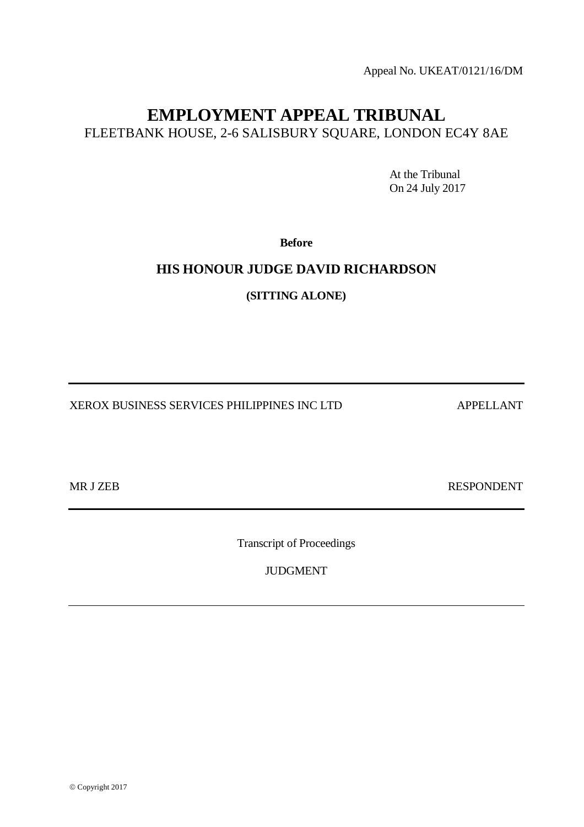Appeal No. UKEAT/0121/16/DM

# **EMPLOYMENT APPEAL TRIBUNAL**

FLEETBANK HOUSE, 2-6 SALISBURY SQUARE, LONDON EC4Y 8AE

At the Tribunal On 24 July 2017

**Before**

# **HIS HONOUR JUDGE DAVID RICHARDSON**

**(SITTING ALONE)**

XEROX BUSINESS SERVICES PHILIPPINES INC LTD APPELLANT

MR J ZEB RESPONDENT

Transcript of Proceedings

JUDGMENT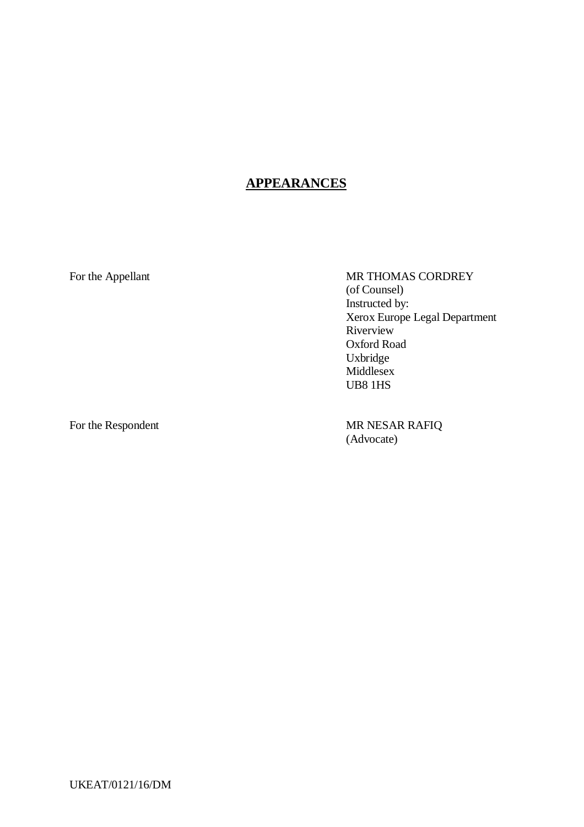# **APPEARANCES**

For the Appellant MR THOMAS CORDREY (of Counsel) Instructed by: Xerox Europe Legal Department Riverview Oxford Road Uxbridge Middlesex UB8 1HS

For the Respondent MR NESAR RAFIQ (Advocate)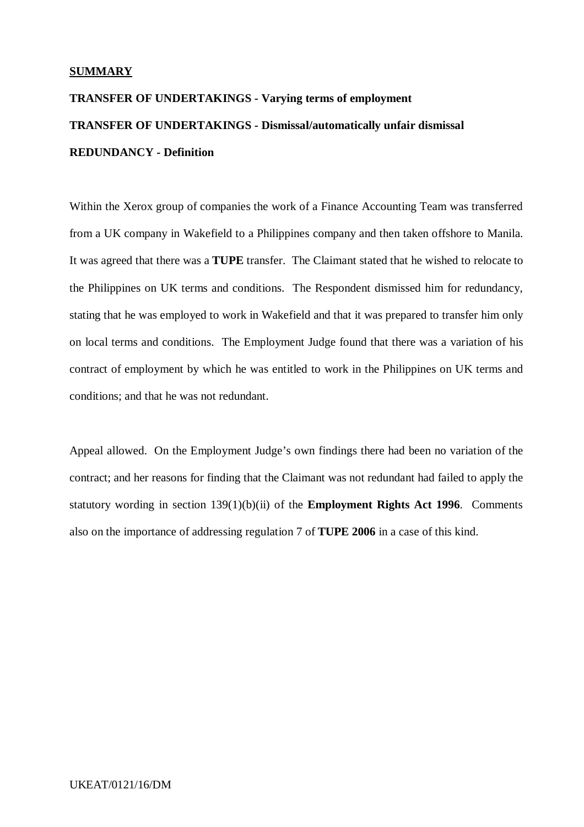### **SUMMARY**

# **TRANSFER OF UNDERTAKINGS - Varying terms of employment TRANSFER OF UNDERTAKINGS - Dismissal/automatically unfair dismissal REDUNDANCY - Definition**

Within the Xerox group of companies the work of a Finance Accounting Team was transferred from a UK company in Wakefield to a Philippines company and then taken offshore to Manila. It was agreed that there was a **TUPE** transfer. The Claimant stated that he wished to relocate to the Philippines on UK terms and conditions. The Respondent dismissed him for redundancy, stating that he was employed to work in Wakefield and that it was prepared to transfer him only on local terms and conditions. The Employment Judge found that there was a variation of his contract of employment by which he was entitled to work in the Philippines on UK terms and conditions; and that he was not redundant.

Appeal allowed. On the Employment Judge's own findings there had been no variation of the contract; and her reasons for finding that the Claimant was not redundant had failed to apply the statutory wording in section 139(1)(b)(ii) of the **Employment Rights Act 1996**. Comments also on the importance of addressing regulation 7 of **TUPE 2006** in a case of this kind.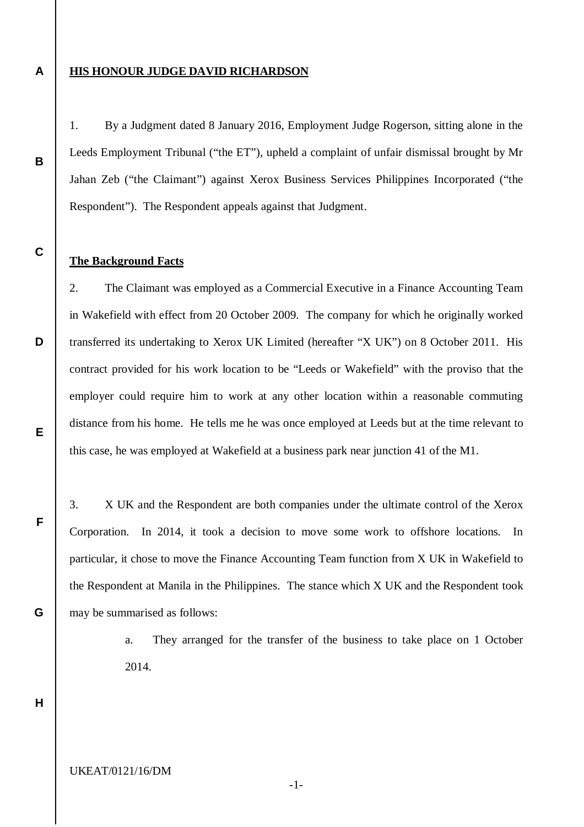#### **A**

**B**

**C**

**D**

**E**

**F**

**G**

# **HIS HONOUR JUDGE DAVID RICHARDSON**

1. By a Judgment dated 8 January 2016, Employment Judge Rogerson, sitting alone in the Leeds Employment Tribunal ("the ET"), upheld a complaint of unfair dismissal brought by Mr Jahan Zeb ("the Claimant") against Xerox Business Services Philippines Incorporated ("the Respondent"). The Respondent appeals against that Judgment.

#### **The Background Facts**

2. The Claimant was employed as a Commercial Executive in a Finance Accounting Team in Wakefield with effect from 20 October 2009. The company for which he originally worked transferred its undertaking to Xerox UK Limited (hereafter "X UK") on 8 October 2011. His contract provided for his work location to be "Leeds or Wakefield" with the proviso that the employer could require him to work at any other location within a reasonable commuting distance from his home. He tells me he was once employed at Leeds but at the time relevant to this case, he was employed at Wakefield at a business park near junction 41 of the M1.

3. X UK and the Respondent are both companies under the ultimate control of the Xerox Corporation. In 2014, it took a decision to move some work to offshore locations. In particular, it chose to move the Finance Accounting Team function from X UK in Wakefield to the Respondent at Manila in the Philippines. The stance which X UK and the Respondent took may be summarised as follows:

> a. They arranged for the transfer of the business to take place on 1 October 2014.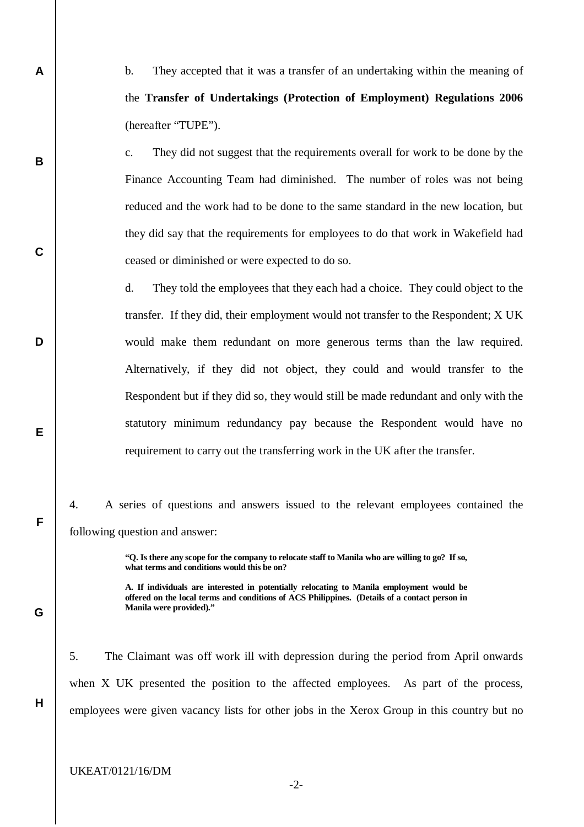b. They accepted that it was a transfer of an undertaking within the meaning of the **Transfer of Undertakings (Protection of Employment) Regulations 2006** (hereafter "TUPE").

c. They did not suggest that the requirements overall for work to be done by the Finance Accounting Team had diminished. The number of roles was not being reduced and the work had to be done to the same standard in the new location, but they did say that the requirements for employees to do that work in Wakefield had ceased or diminished or were expected to do so.

d. They told the employees that they each had a choice. They could object to the transfer. If they did, their employment would not transfer to the Respondent; X UK would make them redundant on more generous terms than the law required. Alternatively, if they did not object, they could and would transfer to the Respondent but if they did so, they would still be made redundant and only with the statutory minimum redundancy pay because the Respondent would have no requirement to carry out the transferring work in the UK after the transfer.

4. A series of questions and answers issued to the relevant employees contained the following question and answer:

> **"Q. Is there any scope for the company to relocate staff to Manila who are willing to go? If so, what terms and conditions would this be on?**

> **A. If individuals are interested in potentially relocating to Manila employment would be offered on the local terms and conditions of ACS Philippines. (Details of a contact person in Manila were provided)."**

5. The Claimant was off work ill with depression during the period from April onwards when X UK presented the position to the affected employees. As part of the process, employees were given vacancy lists for other jobs in the Xerox Group in this country but no

UKEAT/0121/16/DM

**A**

**B**

**C**

**D**

**E**

**F**

**G**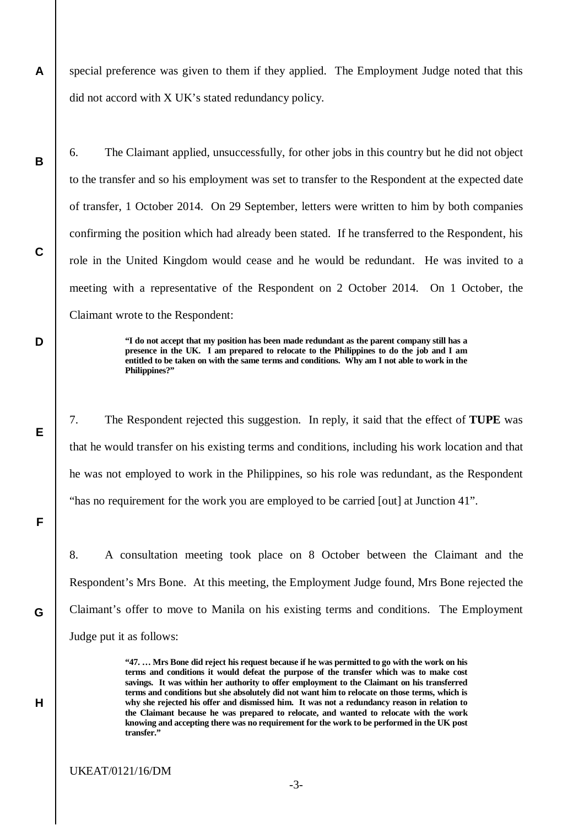special preference was given to them if they applied. The Employment Judge noted that this did not accord with X UK's stated redundancy policy.

6. The Claimant applied, unsuccessfully, for other jobs in this country but he did not object to the transfer and so his employment was set to transfer to the Respondent at the expected date of transfer, 1 October 2014. On 29 September, letters were written to him by both companies confirming the position which had already been stated. If he transferred to the Respondent, his role in the United Kingdom would cease and he would be redundant. He was invited to a meeting with a representative of the Respondent on 2 October 2014. On 1 October, the Claimant wrote to the Respondent:

> **"I do not accept that my position has been made redundant as the parent company still has a presence in the UK. I am prepared to relocate to the Philippines to do the job and I am entitled to be taken on with the same terms and conditions. Why am I not able to work in the Philippines?"**

7. The Respondent rejected this suggestion. In reply, it said that the effect of **TUPE** was that he would transfer on his existing terms and conditions, including his work location and that he was not employed to work in the Philippines, so his role was redundant, as the Respondent "has no requirement for the work you are employed to be carried [out] at Junction 41".

8. A consultation meeting took place on 8 October between the Claimant and the Respondent's Mrs Bone. At this meeting, the Employment Judge found, Mrs Bone rejected the Claimant's offer to move to Manila on his existing terms and conditions. The Employment Judge put it as follows:

> **"47. … Mrs Bone did reject his request because if he was permitted to go with the work on his terms and conditions it would defeat the purpose of the transfer which was to make cost savings. It was within her authority to offer employment to the Claimant on his transferred terms and conditions but she absolutely did not want him to relocate on those terms, which is why she rejected his offer and dismissed him. It was not a redundancy reason in relation to the Claimant because he was prepared to relocate, and wanted to relocate with the work knowing and accepting there was no requirement for the work to be performed in the UK post transfer."**

UKEAT/0121/16/DM

**A**

**B**

**C**

**D**

**E**

**F**

**G**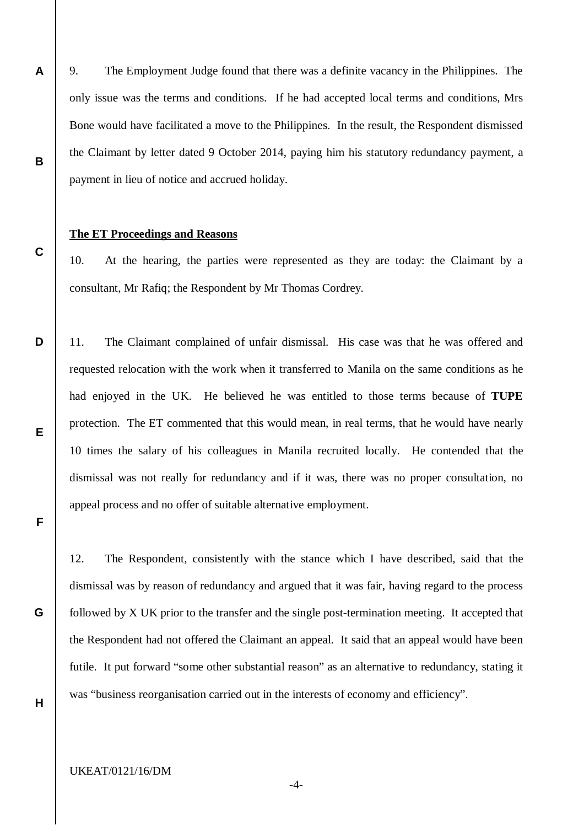9. The Employment Judge found that there was a definite vacancy in the Philippines. The only issue was the terms and conditions. If he had accepted local terms and conditions, Mrs Bone would have facilitated a move to the Philippines. In the result, the Respondent dismissed the Claimant by letter dated 9 October 2014, paying him his statutory redundancy payment, a payment in lieu of notice and accrued holiday.

### **The ET Proceedings and Reasons**

10. At the hearing, the parties were represented as they are today: the Claimant by a consultant, Mr Rafiq; the Respondent by Mr Thomas Cordrey.

11. The Claimant complained of unfair dismissal. His case was that he was offered and requested relocation with the work when it transferred to Manila on the same conditions as he had enjoyed in the UK. He believed he was entitled to those terms because of **TUPE** protection. The ET commented that this would mean, in real terms, that he would have nearly 10 times the salary of his colleagues in Manila recruited locally. He contended that the dismissal was not really for redundancy and if it was, there was no proper consultation, no appeal process and no offer of suitable alternative employment.

12. The Respondent, consistently with the stance which I have described, said that the dismissal was by reason of redundancy and argued that it was fair, having regard to the process followed by X UK prior to the transfer and the single post-termination meeting. It accepted that the Respondent had not offered the Claimant an appeal. It said that an appeal would have been futile. It put forward "some other substantial reason" as an alternative to redundancy, stating it was "business reorganisation carried out in the interests of economy and efficiency".

**H**

**G**

**A**

**B**

**C**

**D**

**E**

**F**

-4-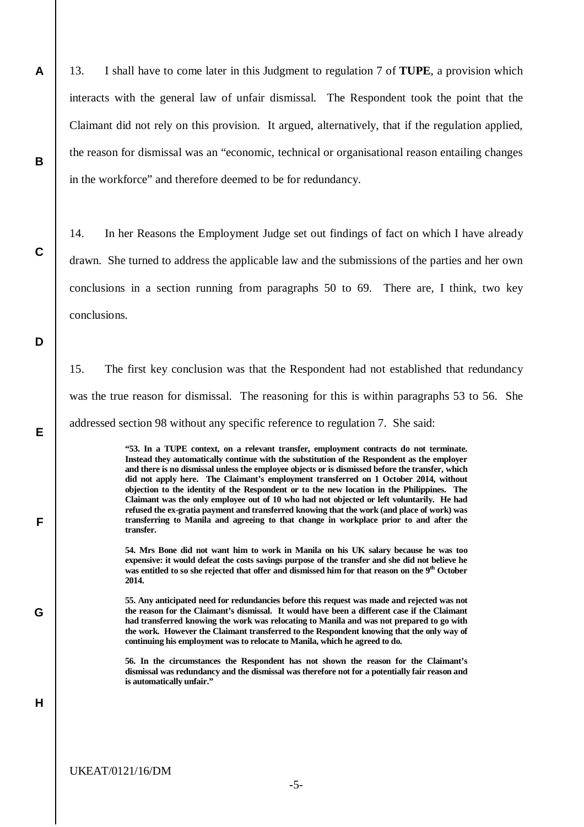13. I shall have to come later in this Judgment to regulation 7 of **TUPE**, a provision which interacts with the general law of unfair dismissal. The Respondent took the point that the Claimant did not rely on this provision. It argued, alternatively, that if the regulation applied, the reason for dismissal was an "economic, technical or organisational reason entailing changes in the workforce" and therefore deemed to be for redundancy.

14. In her Reasons the Employment Judge set out findings of fact on which I have already drawn. She turned to address the applicable law and the submissions of the parties and her own conclusions in a section running from paragraphs 50 to 69. There are, I think, two key conclusions.

**D**

**E**

**F**

**G**

**A**

**B**

**C**

15. The first key conclusion was that the Respondent had not established that redundancy was the true reason for dismissal. The reasoning for this is within paragraphs 53 to 56. She addressed section 98 without any specific reference to regulation 7. She said:

> **"53. In a TUPE context, on a relevant transfer, employment contracts do not terminate. Instead they automatically continue with the substitution of the Respondent as the employer and there is no dismissal unless the employee objects or is dismissed before the transfer, which did not apply here. The Claimant's employment transferred on 1 October 2014, without objection to the identity of the Respondent or to the new location in the Philippines. The Claimant was the only employee out of 10 who had not objected or left voluntarily. He had refused the ex-gratia payment and transferred knowing that the work (and place of work) was transferring to Manila and agreeing to that change in workplace prior to and after the transfer.**

> **54. Mrs Bone did not want him to work in Manila on his UK salary because he was too expensive: it would defeat the costs savings purpose of the transfer and she did not believe he was entitled to so she rejected that offer and dismissed him for that reason on the 9th October 2014.**

> **55. Any anticipated need for redundancies before this request was made and rejected was not the reason for the Claimant's dismissal. It would have been a different case if the Claimant had transferred knowing the work was relocating to Manila and was not prepared to go with the work. However the Claimant transferred to the Respondent knowing that the only way of continuing his employment was to relocate to Manila, which he agreed to do.**

> **56. In the circumstances the Respondent has not shown the reason for the Claimant's dismissal was redundancy and the dismissal was therefore not for a potentially fair reason and is automatically unfair."**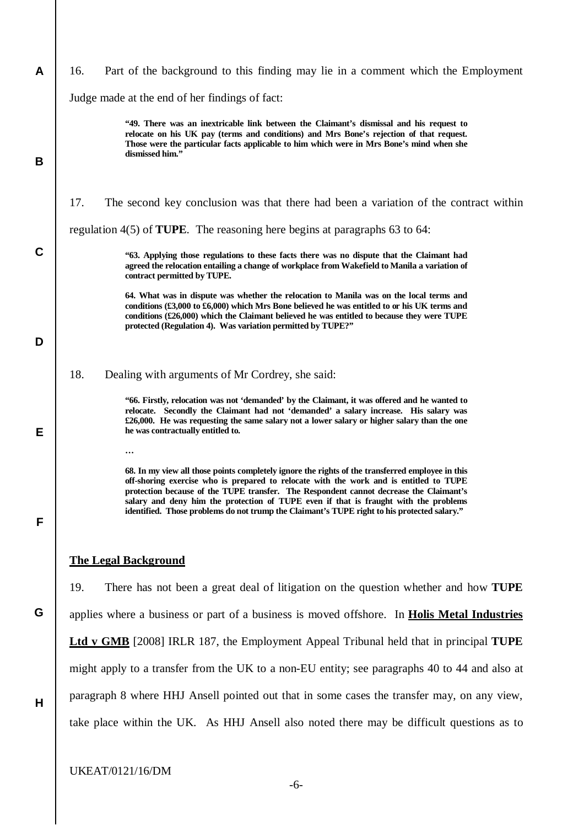| A           | Part of the background to this finding may lie in a comment which the Employment<br>16.                                                                                                                                                                                                                                                                                                                                                                                     |
|-------------|-----------------------------------------------------------------------------------------------------------------------------------------------------------------------------------------------------------------------------------------------------------------------------------------------------------------------------------------------------------------------------------------------------------------------------------------------------------------------------|
|             | Judge made at the end of her findings of fact:                                                                                                                                                                                                                                                                                                                                                                                                                              |
| В           | "49. There was an inextricable link between the Claimant's dismissal and his request to<br>relocate on his UK pay (terms and conditions) and Mrs Bone's rejection of that request.<br>Those were the particular facts applicable to him which were in Mrs Bone's mind when she<br>dismissed him."                                                                                                                                                                           |
|             | 17.<br>The second key conclusion was that there had been a variation of the contract within                                                                                                                                                                                                                                                                                                                                                                                 |
|             | regulation $4(5)$ of TUPE. The reasoning here begins at paragraphs 63 to 64:                                                                                                                                                                                                                                                                                                                                                                                                |
| $\mathbf C$ | "63. Applying those regulations to these facts there was no dispute that the Claimant had<br>agreed the relocation entailing a change of workplace from Wakefield to Manila a variation of<br>contract permitted by TUPE.                                                                                                                                                                                                                                                   |
| D           | 64. What was in dispute was whether the relocation to Manila was on the local terms and<br>conditions (£3,000 to £6,000) which Mrs Bone believed he was entitled to or his UK terms and<br>conditions $(\text{\pounds}26,000)$ which the Claimant believed he was entitled to because they were TUPE<br>protected (Regulation 4). Was variation permitted by TUPE?"                                                                                                         |
|             | 18.<br>Dealing with arguments of Mr Cordrey, she said:                                                                                                                                                                                                                                                                                                                                                                                                                      |
| Е           | "66. Firstly, relocation was not 'demanded' by the Claimant, it was offered and he wanted to<br>relocate. Secondly the Claimant had not 'demanded' a salary increase. His salary was<br>$\pounds26,000$ . He was requesting the same salary not a lower salary or higher salary than the one<br>he was contractually entitled to.<br>                                                                                                                                       |
| F           | 68. In my view all those points completely ignore the rights of the transferred employee in this<br>off-shoring exercise who is prepared to relocate with the work and is entitled to TUPE<br>protection because of the TUPE transfer. The Respondent cannot decrease the Claimant's<br>salary and deny him the protection of TUPE even if that is fraught with the problems<br>identified. Those problems do not trump the Claimant's TUPE right to his protected salary." |
|             | <b>The Legal Background</b>                                                                                                                                                                                                                                                                                                                                                                                                                                                 |
|             | There has not been a great deal of litigation on the question whether and how TUPE<br>19.                                                                                                                                                                                                                                                                                                                                                                                   |
| G           | applies where a business or part of a business is moved offshore. In <b>Holis Metal Industries</b>                                                                                                                                                                                                                                                                                                                                                                          |
|             | <b>Ltd v GMB</b> [2008] IRLR 187, the Employment Appeal Tribunal held that in principal TUPE                                                                                                                                                                                                                                                                                                                                                                                |
|             | might apply to a transfer from the UK to a non-EU entity; see paragraphs 40 to 44 and also at                                                                                                                                                                                                                                                                                                                                                                               |
| H           | paragraph 8 where HHJ Ansell pointed out that in some cases the transfer may, on any view,                                                                                                                                                                                                                                                                                                                                                                                  |
|             | take place within the UK. As HHJ Ansell also noted there may be difficult questions as to                                                                                                                                                                                                                                                                                                                                                                                   |

UKEAT/0121/16/DM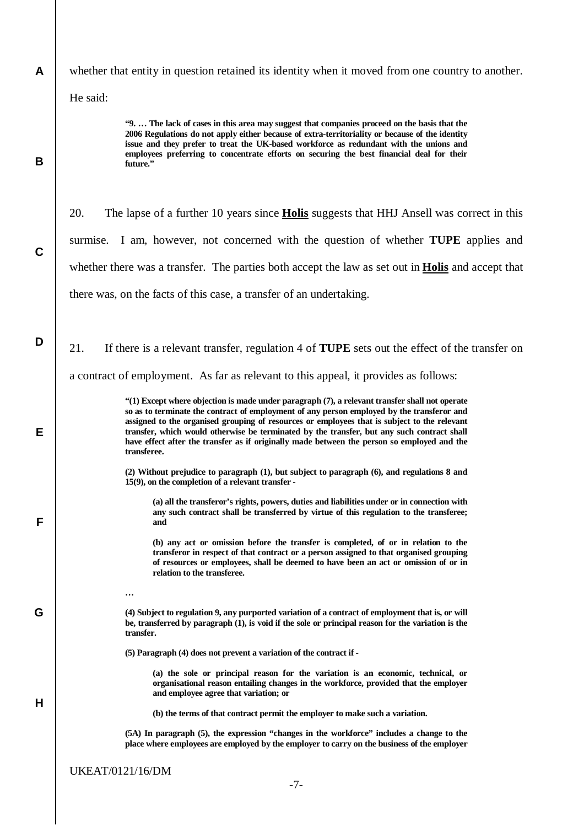| A | whether that entity in question retained its identity when it moved from one country to another.                                                                                                                                                                                                                                                                                                                                                                                                         |
|---|----------------------------------------------------------------------------------------------------------------------------------------------------------------------------------------------------------------------------------------------------------------------------------------------------------------------------------------------------------------------------------------------------------------------------------------------------------------------------------------------------------|
|   | He said:                                                                                                                                                                                                                                                                                                                                                                                                                                                                                                 |
| B | "9.  The lack of cases in this area may suggest that companies proceed on the basis that the<br>2006 Regulations do not apply either because of extra-territoriality or because of the identity<br>issue and they prefer to treat the UK-based workforce as redundant with the unions and<br>employees preferring to concentrate efforts on securing the best financial deal for their<br>future."                                                                                                       |
|   | 20.<br>The lapse of a further 10 years since <b>Holis</b> suggests that HHJ Ansell was correct in this                                                                                                                                                                                                                                                                                                                                                                                                   |
|   | I am, however, not concerned with the question of whether <b>TUPE</b> applies and<br>surmise.                                                                                                                                                                                                                                                                                                                                                                                                            |
| C | whether there was a transfer. The parties both accept the law as set out in <b>Holis</b> and accept that                                                                                                                                                                                                                                                                                                                                                                                                 |
|   | there was, on the facts of this case, a transfer of an undertaking.                                                                                                                                                                                                                                                                                                                                                                                                                                      |
| D | 21.<br>If there is a relevant transfer, regulation 4 of <b>TUPE</b> sets out the effect of the transfer on                                                                                                                                                                                                                                                                                                                                                                                               |
|   | a contract of employment. As far as relevant to this appeal, it provides as follows:                                                                                                                                                                                                                                                                                                                                                                                                                     |
| Е | "(1) Except where objection is made under paragraph (7), a relevant transfer shall not operate<br>so as to terminate the contract of employment of any person employed by the transferor and<br>assigned to the organised grouping of resources or employees that is subject to the relevant<br>transfer, which would otherwise be terminated by the transfer, but any such contract shall<br>have effect after the transfer as if originally made between the person so employed and the<br>transferee. |
|   | (2) Without prejudice to paragraph (1), but subject to paragraph (6), and regulations 8 and<br>15(9), on the completion of a relevant transfer -                                                                                                                                                                                                                                                                                                                                                         |
|   | (a) all the transferor's rights, powers, duties and liabilities under or in connection with                                                                                                                                                                                                                                                                                                                                                                                                              |

**(5) Paragraph (4) does not prevent a variation of the contract if -**

**(a) the sole or principal reason for the variation is an economic, technical, or organisational reason entailing changes in the workforce, provided that the employer and employee agree that variation; or**

**any such contract shall be transferred by virtue of this regulation to the transferee;** 

**(b) any act or omission before the transfer is completed, of or in relation to the transferor in respect of that contract or a person assigned to that organised grouping of resources or employees, shall be deemed to have been an act or omission of or in** 

**(b) the terms of that contract permit the employer to make such a variation.**

**(4) Subject to regulation 9, any purported variation of a contract of employment that is, or will be, transferred by paragraph (1), is void if the sole or principal reason for the variation is the** 

**(5A) In paragraph (5), the expression "changes in the workforce" includes a change to the place where employees are employed by the employer to carry on the business of the employer** 

**and**

**…**

**transfer.**

**relation to the transferee.**

**F**

**G**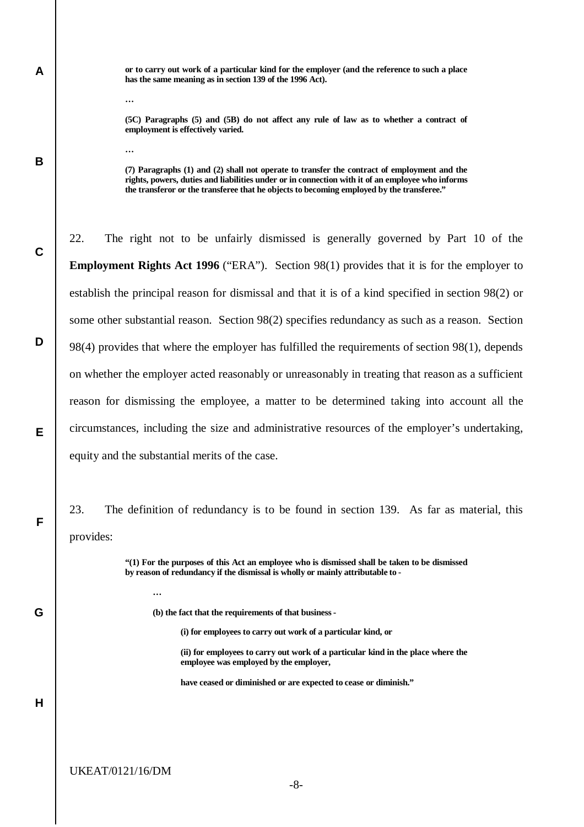**or to carry out work of a particular kind for the employer (and the reference to such a place has the same meaning as in section 139 of the 1996 Act).**

**(5C) Paragraphs (5) and (5B) do not affect any rule of law as to whether a contract of employment is effectively varied.**

**(7) Paragraphs (1) and (2) shall not operate to transfer the contract of employment and the rights, powers, duties and liabilities under or in connection with it of an employee who informs the transferor or the transferee that he objects to becoming employed by the transferee."**

22. The right not to be unfairly dismissed is generally governed by Part 10 of the **Employment Rights Act 1996** ("ERA"). Section 98(1) provides that it is for the employer to establish the principal reason for dismissal and that it is of a kind specified in section 98(2) or some other substantial reason. Section 98(2) specifies redundancy as such as a reason. Section 98(4) provides that where the employer has fulfilled the requirements of section 98(1), depends on whether the employer acted reasonably or unreasonably in treating that reason as a sufficient reason for dismissing the employee, a matter to be determined taking into account all the circumstances, including the size and administrative resources of the employer's undertaking, equity and the substantial merits of the case.

23. The definition of redundancy is to be found in section 139. As far as material, this provides:

> **"(1) For the purposes of this Act an employee who is dismissed shall be taken to be dismissed by reason of redundancy if the dismissal is wholly or mainly attributable to -**

**(b) the fact that the requirements of that business -**

**(i) for employees to carry out work of a particular kind, or**

**(ii) for employees to carry out work of a particular kind in the place where the employee was employed by the employer,**

**have ceased or diminished or are expected to cease or diminish."**

**H**

**A**

**…**

**…**

**B**

**C**

**D**

**E**

**F**

**G**

UKEAT/0121/16/DM

**…**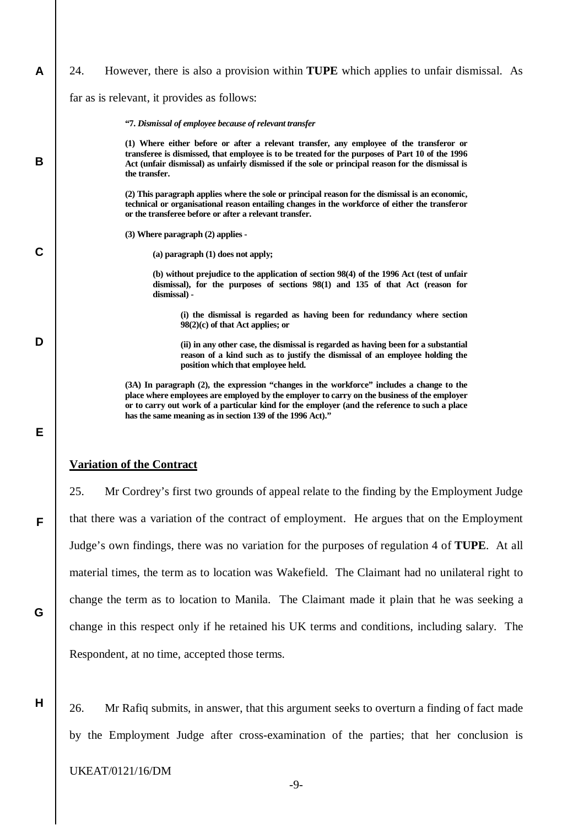#### 24. However, there is also a provision within **TUPE** which applies to unfair dismissal. As

far as is relevant, it provides as follows:

**"7.** *Dismissal of employee because of relevant transfer*

**(1) Where either before or after a relevant transfer, any employee of the transferor or transferee is dismissed, that employee is to be treated for the purposes of Part 10 of the 1996 Act (unfair dismissal) as unfairly dismissed if the sole or principal reason for the dismissal is the transfer.**

**(2) This paragraph applies where the sole or principal reason for the dismissal is an economic, technical or organisational reason entailing changes in the workforce of either the transferor or the transferee before or after a relevant transfer.**

**(3) Where paragraph (2) applies -**

**(a) paragraph (1) does not apply;**

**(b) without prejudice to the application of section 98(4) of the 1996 Act (test of unfair dismissal), for the purposes of sections 98(1) and 135 of that Act (reason for dismissal) -**

**(i) the dismissal is regarded as having been for redundancy where section 98(2)(c) of that Act applies; or**

**(ii) in any other case, the dismissal is regarded as having been for a substantial reason of a kind such as to justify the dismissal of an employee holding the position which that employee held.**

**(3A) In paragraph (2), the expression "changes in the workforce" includes a change to the place where employees are employed by the employer to carry on the business of the employer or to carry out work of a particular kind for the employer (and the reference to such a place has the same meaning as in section 139 of the 1996 Act)."**

#### **Variation of the Contract**

25. Mr Cordrey's first two grounds of appeal relate to the finding by the Employment Judge that there was a variation of the contract of employment. He argues that on the Employment Judge's own findings, there was no variation for the purposes of regulation 4 of **TUPE**. At all material times, the term as to location was Wakefield. The Claimant had no unilateral right to change the term as to location to Manila. The Claimant made it plain that he was seeking a change in this respect only if he retained his UK terms and conditions, including salary. The Respondent, at no time, accepted those terms.

**H**

**A**

**B**

**C**

**D**

**E**

**F**

**G**

26. Mr Rafiq submits, in answer, that this argument seeks to overturn a finding of fact made by the Employment Judge after cross-examination of the parties; that her conclusion is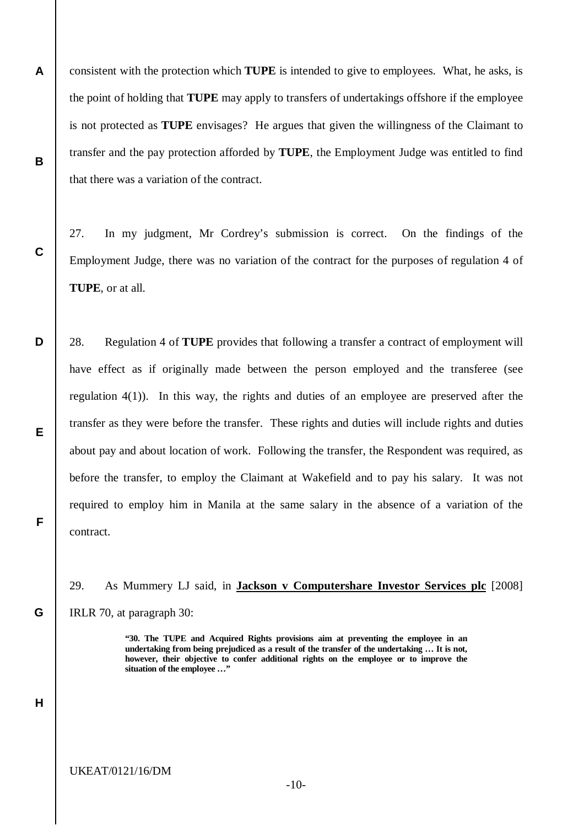**A B** consistent with the protection which **TUPE** is intended to give to employees. What, he asks, is the point of holding that **TUPE** may apply to transfers of undertakings offshore if the employee is not protected as **TUPE** envisages? He argues that given the willingness of the Claimant to transfer and the pay protection afforded by **TUPE**, the Employment Judge was entitled to find that there was a variation of the contract.

27. In my judgment, Mr Cordrey's submission is correct. On the findings of the Employment Judge, there was no variation of the contract for the purposes of regulation 4 of **TUPE**, or at all.

**D E F** 28. Regulation 4 of **TUPE** provides that following a transfer a contract of employment will have effect as if originally made between the person employed and the transferee (see regulation 4(1)). In this way, the rights and duties of an employee are preserved after the transfer as they were before the transfer. These rights and duties will include rights and duties about pay and about location of work. Following the transfer, the Respondent was required, as before the transfer, to employ the Claimant at Wakefield and to pay his salary. It was not required to employ him in Manila at the same salary in the absence of a variation of the contract.

29. As Mummery LJ said, in **Jackson v Computershare Investor Services plc** [2008] IRLR 70, at paragraph 30:

> **"30. The TUPE and Acquired Rights provisions aim at preventing the employee in an undertaking from being prejudiced as a result of the transfer of the undertaking … It is not, however, their objective to confer additional rights on the employee or to improve the situation of the employee …"**

**H**

**G**

**C**

UKEAT/0121/16/DM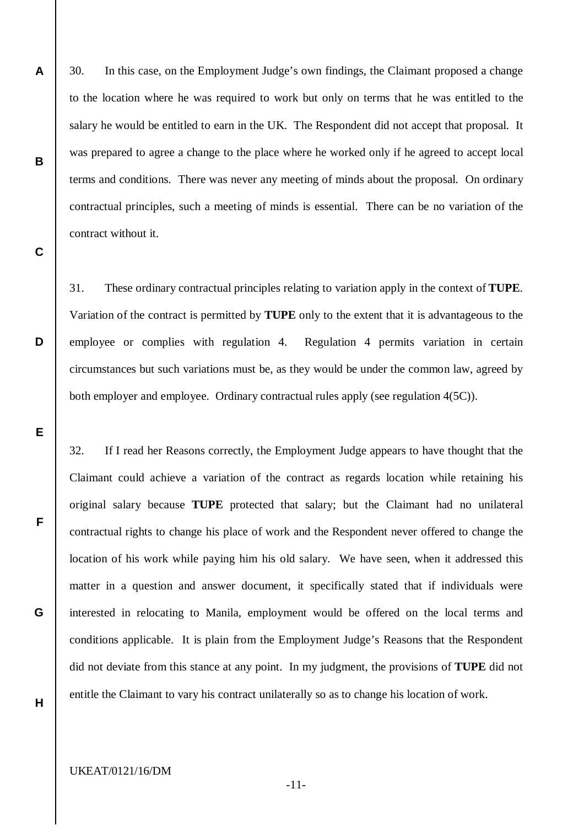30. In this case, on the Employment Judge's own findings, the Claimant proposed a change to the location where he was required to work but only on terms that he was entitled to the salary he would be entitled to earn in the UK. The Respondent did not accept that proposal. It was prepared to agree a change to the place where he worked only if he agreed to accept local terms and conditions. There was never any meeting of minds about the proposal. On ordinary contractual principles, such a meeting of minds is essential. There can be no variation of the contract without it.

31. These ordinary contractual principles relating to variation apply in the context of **TUPE**. Variation of the contract is permitted by **TUPE** only to the extent that it is advantageous to the employee or complies with regulation 4. Regulation 4 permits variation in certain circumstances but such variations must be, as they would be under the common law, agreed by both employer and employee. Ordinary contractual rules apply (see regulation 4(5C)).

32. If I read her Reasons correctly, the Employment Judge appears to have thought that the Claimant could achieve a variation of the contract as regards location while retaining his original salary because **TUPE** protected that salary; but the Claimant had no unilateral contractual rights to change his place of work and the Respondent never offered to change the location of his work while paying him his old salary. We have seen, when it addressed this matter in a question and answer document, it specifically stated that if individuals were interested in relocating to Manila, employment would be offered on the local terms and conditions applicable. It is plain from the Employment Judge's Reasons that the Respondent did not deviate from this stance at any point. In my judgment, the provisions of **TUPE** did not entitle the Claimant to vary his contract unilaterally so as to change his location of work.

**H**

**A**

**B**

**C**

**D**

**E**

**F**

**G**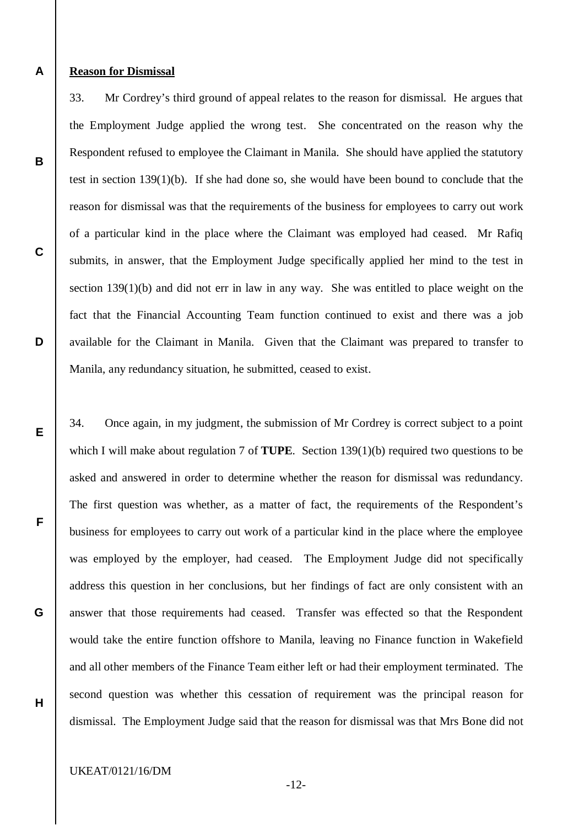# **Reason for Dismissal**

33. Mr Cordrey's third ground of appeal relates to the reason for dismissal. He argues that the Employment Judge applied the wrong test. She concentrated on the reason why the Respondent refused to employee the Claimant in Manila. She should have applied the statutory test in section 139(1)(b). If she had done so, she would have been bound to conclude that the reason for dismissal was that the requirements of the business for employees to carry out work of a particular kind in the place where the Claimant was employed had ceased. Mr Rafiq submits, in answer, that the Employment Judge specifically applied her mind to the test in section 139(1)(b) and did not err in law in any way. She was entitled to place weight on the fact that the Financial Accounting Team function continued to exist and there was a job available for the Claimant in Manila. Given that the Claimant was prepared to transfer to Manila, any redundancy situation, he submitted, ceased to exist.

34. Once again, in my judgment, the submission of Mr Cordrey is correct subject to a point which I will make about regulation 7 of **TUPE**. Section 139(1)(b) required two questions to be asked and answered in order to determine whether the reason for dismissal was redundancy. The first question was whether, as a matter of fact, the requirements of the Respondent's business for employees to carry out work of a particular kind in the place where the employee was employed by the employer, had ceased. The Employment Judge did not specifically address this question in her conclusions, but her findings of fact are only consistent with an answer that those requirements had ceased. Transfer was effected so that the Respondent would take the entire function offshore to Manila, leaving no Finance function in Wakefield and all other members of the Finance Team either left or had their employment terminated. The second question was whether this cessation of requirement was the principal reason for dismissal. The Employment Judge said that the reason for dismissal was that Mrs Bone did not

**E**

**F**

**A**

**B**

**C**

**D**

**G**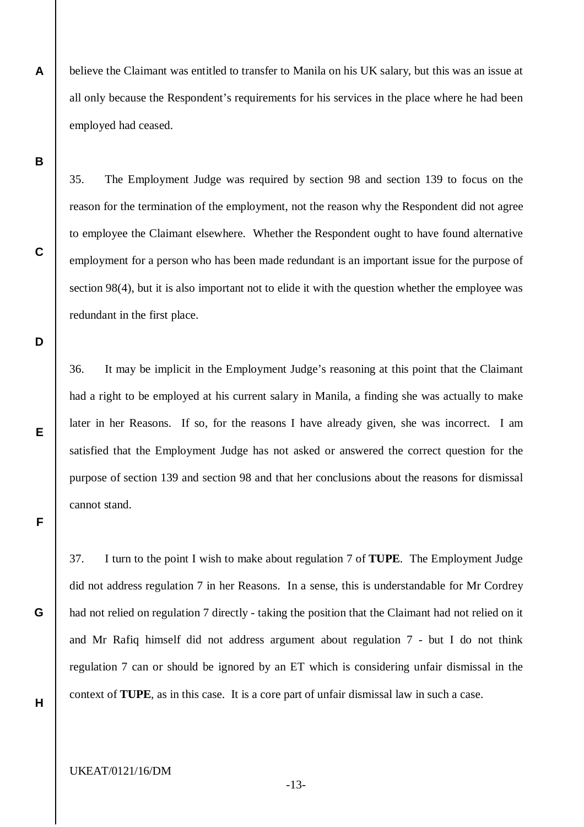believe the Claimant was entitled to transfer to Manila on his UK salary, but this was an issue at all only because the Respondent's requirements for his services in the place where he had been employed had ceased.

**B**

**A**

35. The Employment Judge was required by section 98 and section 139 to focus on the reason for the termination of the employment, not the reason why the Respondent did not agree to employee the Claimant elsewhere. Whether the Respondent ought to have found alternative employment for a person who has been made redundant is an important issue for the purpose of section 98(4), but it is also important not to elide it with the question whether the employee was redundant in the first place.

**D**

**E**

**F**

**G**

**C**

36. It may be implicit in the Employment Judge's reasoning at this point that the Claimant had a right to be employed at his current salary in Manila, a finding she was actually to make later in her Reasons. If so, for the reasons I have already given, she was incorrect. I am satisfied that the Employment Judge has not asked or answered the correct question for the purpose of section 139 and section 98 and that her conclusions about the reasons for dismissal cannot stand.

37. I turn to the point I wish to make about regulation 7 of **TUPE**. The Employment Judge did not address regulation 7 in her Reasons. In a sense, this is understandable for Mr Cordrey had not relied on regulation 7 directly - taking the position that the Claimant had not relied on it and Mr Rafiq himself did not address argument about regulation 7 - but I do not think regulation 7 can or should be ignored by an ET which is considering unfair dismissal in the context of **TUPE**, as in this case. It is a core part of unfair dismissal law in such a case.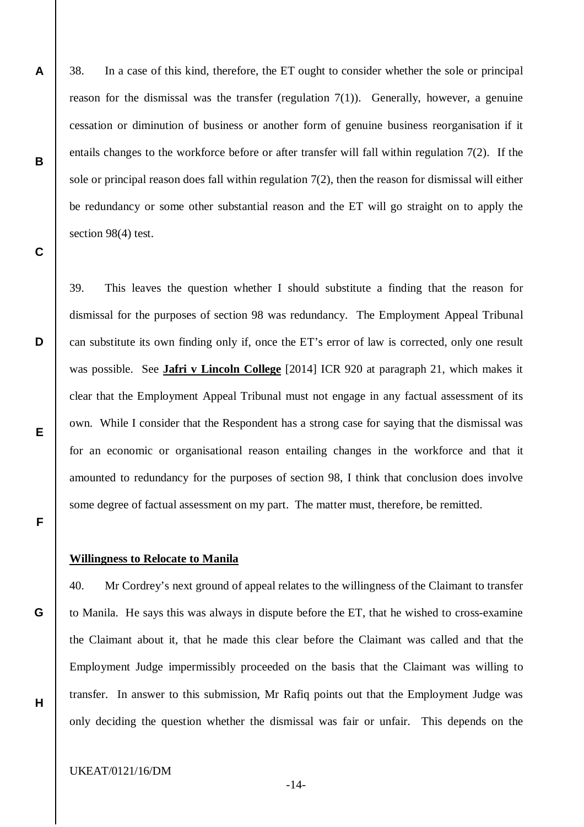38. In a case of this kind, therefore, the ET ought to consider whether the sole or principal reason for the dismissal was the transfer (regulation  $7(1)$ ). Generally, however, a genuine cessation or diminution of business or another form of genuine business reorganisation if it entails changes to the workforce before or after transfer will fall within regulation 7(2). If the sole or principal reason does fall within regulation  $7(2)$ , then the reason for dismissal will either be redundancy or some other substantial reason and the ET will go straight on to apply the section 98(4) test.

39. This leaves the question whether I should substitute a finding that the reason for dismissal for the purposes of section 98 was redundancy. The Employment Appeal Tribunal can substitute its own finding only if, once the ET's error of law is corrected, only one result was possible. See **Jafri v Lincoln College** [2014] ICR 920 at paragraph 21, which makes it clear that the Employment Appeal Tribunal must not engage in any factual assessment of its own. While I consider that the Respondent has a strong case for saying that the dismissal was for an economic or organisational reason entailing changes in the workforce and that it amounted to redundancy for the purposes of section 98, I think that conclusion does involve some degree of factual assessment on my part. The matter must, therefore, be remitted.

### **Willingness to Relocate to Manila**

40. Mr Cordrey's next ground of appeal relates to the willingness of the Claimant to transfer to Manila. He says this was always in dispute before the ET, that he wished to cross-examine the Claimant about it, that he made this clear before the Claimant was called and that the Employment Judge impermissibly proceeded on the basis that the Claimant was willing to transfer. In answer to this submission, Mr Rafiq points out that the Employment Judge was only deciding the question whether the dismissal was fair or unfair. This depends on the

**H**

**A**

**B**

**C**

**D**

**E**

**F**

**G**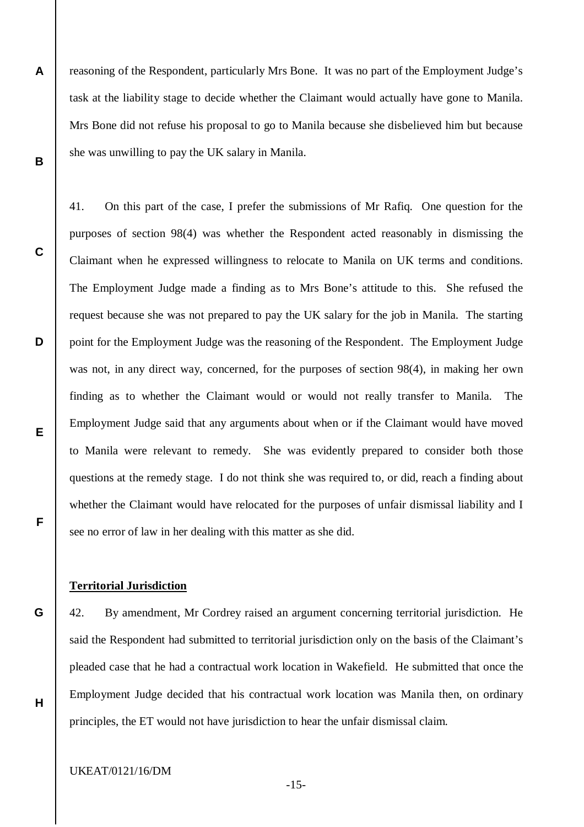**A B** reasoning of the Respondent, particularly Mrs Bone. It was no part of the Employment Judge's task at the liability stage to decide whether the Claimant would actually have gone to Manila. Mrs Bone did not refuse his proposal to go to Manila because she disbelieved him but because she was unwilling to pay the UK salary in Manila.

41. On this part of the case, I prefer the submissions of Mr Rafiq. One question for the purposes of section 98(4) was whether the Respondent acted reasonably in dismissing the Claimant when he expressed willingness to relocate to Manila on UK terms and conditions. The Employment Judge made a finding as to Mrs Bone's attitude to this. She refused the request because she was not prepared to pay the UK salary for the job in Manila. The starting point for the Employment Judge was the reasoning of the Respondent. The Employment Judge was not, in any direct way, concerned, for the purposes of section 98(4), in making her own finding as to whether the Claimant would or would not really transfer to Manila. The Employment Judge said that any arguments about when or if the Claimant would have moved to Manila were relevant to remedy. She was evidently prepared to consider both those questions at the remedy stage. I do not think she was required to, or did, reach a finding about whether the Claimant would have relocated for the purposes of unfair dismissal liability and I see no error of law in her dealing with this matter as she did.

# **Territorial Jurisdiction**

**C**

**D**

**E**

**F**

**G**

**H**

42. By amendment, Mr Cordrey raised an argument concerning territorial jurisdiction. He said the Respondent had submitted to territorial jurisdiction only on the basis of the Claimant's pleaded case that he had a contractual work location in Wakefield. He submitted that once the Employment Judge decided that his contractual work location was Manila then, on ordinary principles, the ET would not have jurisdiction to hear the unfair dismissal claim.

UKEAT/0121/16/DM

-15-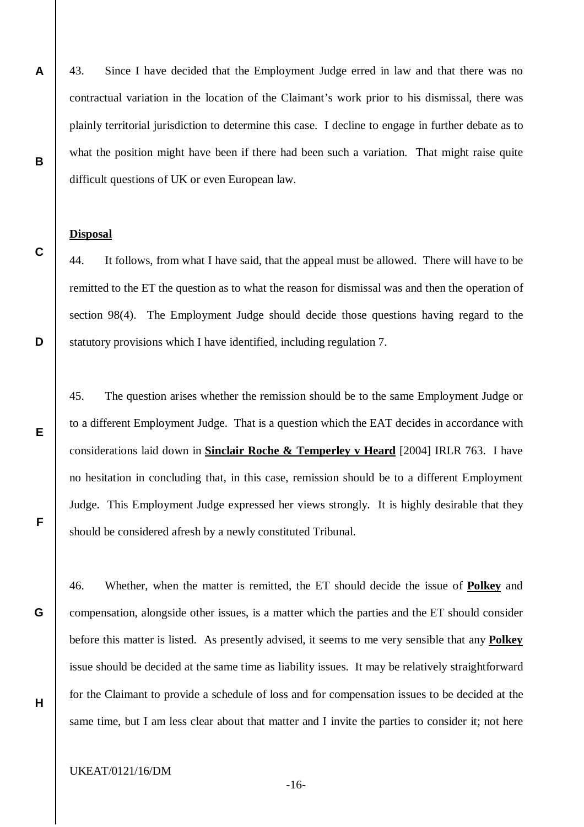43. Since I have decided that the Employment Judge erred in law and that there was no contractual variation in the location of the Claimant's work prior to his dismissal, there was plainly territorial jurisdiction to determine this case. I decline to engage in further debate as to what the position might have been if there had been such a variation. That might raise quite difficult questions of UK or even European law.

#### **Disposal**

**A**

**B**

**C**

**D**

**E**

**F**

**G**

**H**

44. It follows, from what I have said, that the appeal must be allowed. There will have to be remitted to the ET the question as to what the reason for dismissal was and then the operation of section 98(4). The Employment Judge should decide those questions having regard to the statutory provisions which I have identified, including regulation 7.

45. The question arises whether the remission should be to the same Employment Judge or to a different Employment Judge. That is a question which the EAT decides in accordance with considerations laid down in **Sinclair Roche & Temperley v Heard** [2004] IRLR 763. I have no hesitation in concluding that, in this case, remission should be to a different Employment Judge. This Employment Judge expressed her views strongly. It is highly desirable that they should be considered afresh by a newly constituted Tribunal.

46. Whether, when the matter is remitted, the ET should decide the issue of **Polkey** and compensation, alongside other issues, is a matter which the parties and the ET should consider before this matter is listed. As presently advised, it seems to me very sensible that any **Polkey** issue should be decided at the same time as liability issues. It may be relatively straightforward for the Claimant to provide a schedule of loss and for compensation issues to be decided at the same time, but I am less clear about that matter and I invite the parties to consider it; not here

UKEAT/0121/16/DM

-16-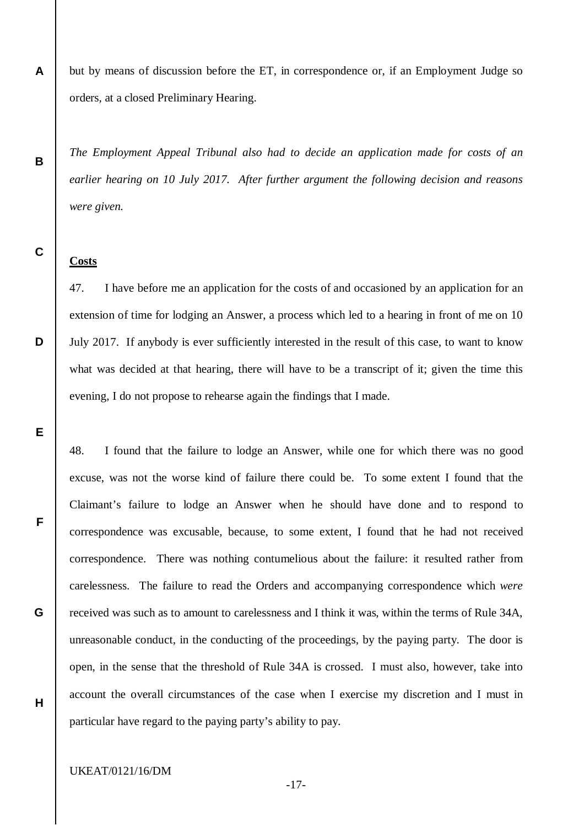but by means of discussion before the ET, in correspondence or, if an Employment Judge so orders, at a closed Preliminary Hearing.

*The Employment Appeal Tribunal also had to decide an application made for costs of an earlier hearing on 10 July 2017. After further argument the following decision and reasons were given.*

#### **Costs**

**A**

**B**

**C**

**D**

**E**

**F**

**G**

**H**

47. I have before me an application for the costs of and occasioned by an application for an extension of time for lodging an Answer, a process which led to a hearing in front of me on 10 July 2017. If anybody is ever sufficiently interested in the result of this case, to want to know what was decided at that hearing, there will have to be a transcript of it; given the time this evening, I do not propose to rehearse again the findings that I made.

48. I found that the failure to lodge an Answer, while one for which there was no good excuse, was not the worse kind of failure there could be. To some extent I found that the Claimant's failure to lodge an Answer when he should have done and to respond to correspondence was excusable, because, to some extent, I found that he had not received correspondence. There was nothing contumelious about the failure: it resulted rather from carelessness. The failure to read the Orders and accompanying correspondence which *were* received was such as to amount to carelessness and I think it was, within the terms of Rule 34A, unreasonable conduct, in the conducting of the proceedings, by the paying party. The door is open, in the sense that the threshold of Rule 34A is crossed. I must also, however, take into account the overall circumstances of the case when I exercise my discretion and I must in particular have regard to the paying party's ability to pay.

UKEAT/0121/16/DM